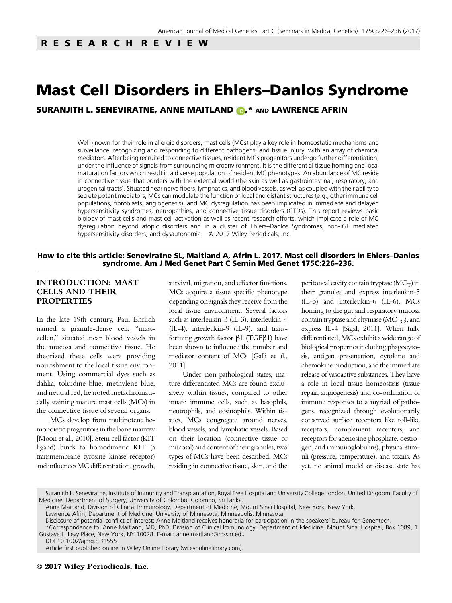# Mast Cell Disorders in Ehlers–Danlos Syndrome

SURANJITH L. SENEVIRATNE, ANNE MAITLAND (D,\* AND LAWRENCE AFRIN

Well known for their role in allergic disorders, mast cells (MCs) play a key role in homeostatic mechanisms and surveillance, recognizing and responding to different pathogens, and tissue injury, with an array of chemical mediators. After being recruited to connective tissues, resident MCs progenitors undergo further differentiation, under the influence of signals from surrounding microenvironment. It is the differential tissue homing and local maturation factors which result in a diverse population of resident MC phenotypes. An abundance of MC reside in connective tissue that borders with the external world (the skin as well as gastrointestinal, respiratory, and urogenital tracts). Situated near nerve fibers, lymphatics, and blood vessels, as well as coupled with their ability to secrete potent mediators, MCs can modulate the function of local and distant structures (e.g., other immune cell populations, fibroblasts, angiogenesis), and MC dysregulation has been implicated in immediate and delayed hypersensitivity syndromes, neuropathies, and connective tissue disorders (CTDs). This report reviews basic biology of mast cells and mast cell activation as well as recent research efforts, which implicate a role of MC dysregulation beyond atopic disorders and in a cluster of Ehlers–Danlos Syndromes, non-IGE mediated hypersensitivity disorders, and dysautonomia. © 2017 Wiley Periodicals, Inc.

#### How to cite this article: Seneviratne SL, Maitland A, Afrin L. 2017. Mast cell disorders in Ehlers–Danlos syndrome. Am J Med Genet Part C Semin Med Genet 175C:226–236.

### INTRODUCTION: MAST CELLS AND THEIR PROPERTIES

In the late 19th century, Paul Ehrlich named a granule-dense cell, "mastzellen," situated near blood vessels in the mucosa and connective tissue. He theorized these cells were providing nourishment to the local tissue environment. Using commercial dyes such as dahlia, toluidine blue, methylene blue, and neutral red, he noted metachromatically staining mature mast cells (MCs) in the connective tissue of several organs.

MCs develop from multipotent hemopoietic progenitors in the bone marrow [Moon et al., 2010]. Stem cell factor (KIT ligand) binds to homodimeric KIT (a transmembrane tyrosine kinase receptor) and influencesMC differentiation, growth,

survival, migration, and effector functions. MCs acquire a tissue specific phenotype depending on signals they receive from the local tissue environment. Several factors such as interleukin-3 (IL-3), interleukin-4 (IL-4), interleukin-9 (IL-9), and transforming growth factor  $\beta$ 1 (TGF $\beta$ 1) have been shown to influence the number and mediator content of MCs [Galli et al., 2011].

Under non-pathological states, mature differentiated MCs are found exclusively within tissues, compared to other innate immune cells, such as basophils, neutrophils, and eosinophils. Within tissues, MCs congregate around nerves, blood vessels, and lymphatic vessels. Based on their location (connective tissue or mucosal) and content of their granules, two types of MCs have been described. MCs residing in connective tissue, skin, and the

peritoneal cavity contain tryptase  $(MC_T)$  in their granules and express interleukin-5 (IL-5) and interleukin-6 (IL-6). MCs homing to the gut and respiratory mucosa contain tryptase and chymase ( $MC_{TC}$ ), and express IL-4 [Sigal, 2011]. When fully differentiated, MCs exhibit a wide range of biological properties including phagocytosis, antigen presentation, cytokine and chemokine production, and the immediate release of vasoactive substances. They have a role in local tissue homeostasis (tissue repair, angiogenesis) and co-ordination of immune responses to a myriad of pathogens, recognized through evolutionarily conserved surface receptors like toll-like receptors, complement receptors, and receptors for adenosine phosphate, oestrogen, and immunoglobulins), physical stimuli (pressure, temperature), and toxins. As yet, no animal model or disease state has

DOI 10.1002/ajmg.c.31555

Suranjith L. Seneviratne, Institute of Immunity and Transplantation, Royal Free Hospital and University College London, United Kingdom; Faculty of Medicine, Department of Surgery, University of Colombo, Colombo, Sri Lanka.

Anne Maitland, Division of Clinical Immunology, Department of Medicine, Mount Sinai Hospital, New York, New York.

Lawrence Afrin, Department of Medicine, University of Minnesota, Minneapolis, Minnesota.

Disclosure of potential conflict of interest: Anne Maitland receives honoraria for participation in the speakers' bureau for Genentech.

<sup>\*</sup>Correspondence to: Anne Maitland, MD, PhD, Division of Clinical Immunology, Department of Medicine, Mount Sinai Hospital, Box 1089, 1 Gustave L. Levy Place, New York, NY 10028. E-mail: anne.maitland@mssm.edu

Article first published online in Wiley Online Library (wileyonlinelibrary.com).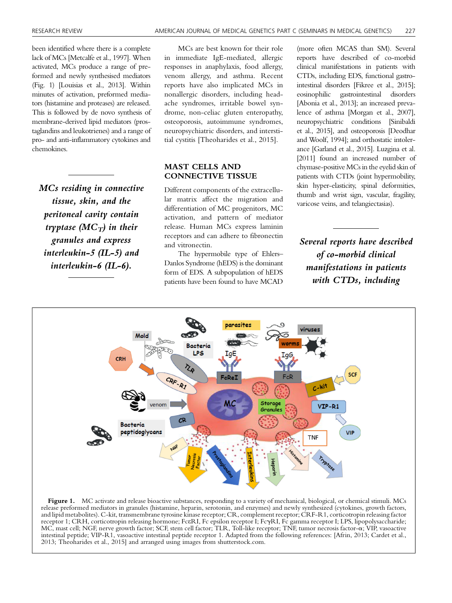been identified where there is a complete lack of MCs [Metcalfe et al., 1997]. When activated, MCs produce a range of preformed and newly synthesised mediators (Fig. 1) [Louisias et al., 2013]. Within minutes of activation, preformed mediators (histamine and proteases) are released. This is followed by de novo synthesis of membrane-derived lipid mediators (prostaglandins and leukotrienes) and a range of pro- and anti-inflammatory cytokines and chemokines.

MCs residing in connective tissue, skin, and the peritoneal cavity contain tryptase ( $MC_T$ ) in their granules and express interleukin-5 (IL-5) and interleukin-6 (IL-6).

MCs are best known for their role in immediate IgE-mediated, allergic responses in anaphylaxis, food allergy, venom allergy, and asthma. Recent reports have also implicated MCs in nonallergic disorders, including headache syndromes, irritable bowel syndrome, non-celiac gluten enteropathy, osteoporosis, autoimmune syndromes, neuropsychiatric disorders, and interstitial cystitis [Theoharides et al., 2015].

## MAST CELLS AND CONNECTIVE TISSUE

Different components of the extracellular matrix affect the migration and differentiation of MC progenitors, MC activation, and pattern of mediator release. Human MCs express laminin receptors and can adhere to fibronectin and vitronectin.

The hypermobile type of Ehlers– Danlos Syndrome (hEDS) is the dominant form of EDS. A subpopulation of hEDS patients have been found to have MCAD (more often MCAS than SM). Several reports have described of co-morbid clinical manifestations in patients with CTDs, including EDS, functional gastrointestinal disorders [Fikree et al., 2015]; eosinophilic gastrointestinal disorders [Abonia et al., 2013]; an increased prevalence of asthma [Morgan et al., 2007], neuropsychiatric conditions [Sinibaldi et al., 2015], and osteoporosis [Deodhar and Woolf, 1994]; and orthostatic intolerance [Garland et al., 2015]. Luzgina et al. [2011] found an increased number of chymase-positive MCs in the eyelid skin of patients with CTDs (joint hypermobility, skin hyper-elasticity, spinal deformities, thumb and wrist sign, vascular, fragility, varicose veins, and telangiectasias).

Several reports have described of co-morbid clinical manifestations in patients with CTDs, including



Figure 1. MC activate and release bioactive substances, responding to a variety of mechanical, biological, or chemical stimuli. MCs release preformed mediators in granules (histamine, heparin, serotonin, and enzymes) and newly synthesized (cytokines, growth factors, and lipid metabolites). C-kit, transmembrane tyrosine kinase receptor; CR, complement receptor; CRF-R1, corticotropin releasing factor receptor 1; CRH, corticotropin releasing hormone; FceRI, Fc epsilon receptor I; FcgRI, Fc gamma receptor I; LPS, lipopolysaccharide; MC, mast cell; NGF, nerve growth factor; SCF, stem cell factor; TLR, Toll-like receptor; TNF, tumor necrosis factor-a; VIP, vasoactive intestinal peptide; VIP-R1, vasoactive intestinal peptide receptor 1. Adapted from the following references: [Afrin, 2013; Cardet et al., 2013; Theoharides et al., 2015] and arranged using images from shutterstock.com.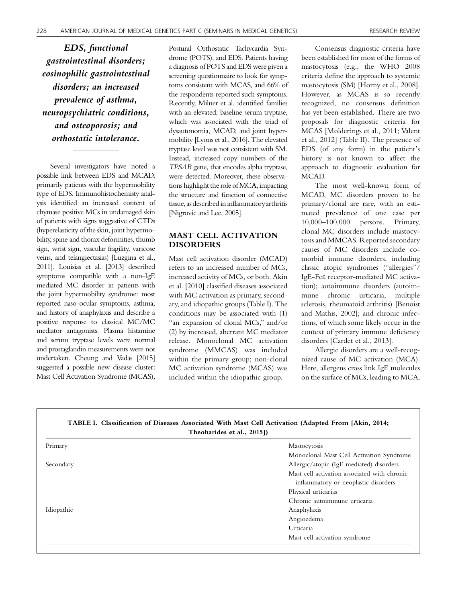EDS, functional gastrointestinal disorders; eosinophilic gastrointestinal disorders; an increased prevalence of asthma, neuropsychiatric conditions, and osteoporosis; and orthostatic intolerance.

Several investigators have noted a possible link between EDS and MCAD, primarily patients with the hypermobility type of EDS. Immunohistochemisty analysis identified an increased content of chymase positive MCs in undamaged skin of patients with signs suggestive of CTDs (hyperelasticity of the skin, joint hypermobility, spine and thorax deformities, thumb sign, wrist sign, vascular fragility, varicose veins, and telangiectasias) [Luzgina et al., 2011]. Louisias et al. [2013] described symptoms compatible with a non-IgE mediated MC disorder in patients with the joint hypermobility syndrome: most reported naso-ocular symptoms, asthma, and history of anaphylaxis and describe a positive response to classical MC/MC mediator antagonists. Plasma histamine and serum tryptase levels were normal and prostaglandin measurements were not undertaken. Cheung and Vadas [2015] suggested a possible new disease cluster: Mast Cell Activation Syndrome (MCAS),

Postural Orthostatic Tachycardia Syndrome (POTS), and EDS. Patients having a diagnosis of POTS and EDS were given a screening questionnaire to look for symptoms consistent with MCAS, and 66% of the respondents reported such symptoms. Recently, Milner et al. identified families with an elevated, baseline serum tryptase, which was associated with the triad of dysautonomia, MCAD, and joint hypermobility [Lyons et al., 2016]. The elevated tryptase level was not consistent with SM. Instead, increased copy numbers of the TPSAB gene, that encodes alpha tryptase, were detected. Moreover, these observations highlight the role ofMCA, impacting the structure and function of connective tissue, as described in inflammatory arthritis [Nigrovic and Lee, 2005].

# MAST CELL ACTIVATION DISORDERS

Mast cell activation disorder (MCAD) refers to an increased number of MCs, increased activity of MCs, or both. Akin et al. [2010] classified diseases associated with MC activation as primary, secondary, and idiopathic groups (Table I). The conditions may be associated with (1) "an expansion of clonal MCs," and/or (2) by increased, aberrant MC mediator release. Monoclonal MC activation syndrome (MMCAS) was included within the primary group; non-clonal MC activation syndrome (MCAS) was included within the idiopathic group.

Consensus diagnostic criteria have been established for most of the forms of mastocytosis (e.g., the WHO 2008 criteria define the approach to systemic mastocytosis (SM) [Horny et al., 2008]. However, as MCAS is so recently recognized, no consensus definition has yet been established. There are two proposals for diagnostic criteria for MCAS [Molderings et al., 2011; Valent et al., 2012] (Table II). The presence of EDS (of any form) in the patient's history is not known to affect the approach to diagnostic evaluation for MCAD.

The most well-known form of MCAD, MC disorders proven to be primary/clonal are rare, with an estimated prevalence of one case per 10,000–100,000 persons. Primary, clonal MC disorders include mastocytosis and MMCAS. Reported secondary causes of MC disorders include comorbid immune disorders, including classic atopic syndromes ("allergies"/ IgE-Fce receptor-mediated MC activation); autoimmune disorders (autoimmune chronic urticaria, multiple sclerosis, rheumatoid arthritis) [Benoist and Mathis, 2002]; and chronic infections, of which some likely occur in the context of primary immune deficiency disorders [Cardet et al., 2013].

Allergic disorders are a well-recognized cause of MC activation (MCA). Here, allergens cross link IgE molecules on the surface of MCs, leading to MCA,

| Theoharides et al., 2015]) |                                                                                      |
|----------------------------|--------------------------------------------------------------------------------------|
| Primary                    | Mastocytosis                                                                         |
|                            | Monoclonal Mast Cell Activation Syndrome                                             |
| Secondary                  | Allergic/atopic (IgE mediated) disorders                                             |
|                            | Mast cell activation associated with chronic<br>inflammatory or neoplastic disorders |
|                            | Physical urticarias                                                                  |
|                            | Chronic autoimmune urticaria                                                         |
| Idiopathic                 | Anaphylaxis                                                                          |
|                            | Angioedema                                                                           |
|                            | Urticaria                                                                            |
|                            | Mast cell activation syndrome                                                        |

TABLE I. Classification of Diseases Associated With Mast Cell Activation (Adapted From [Akin, 2014;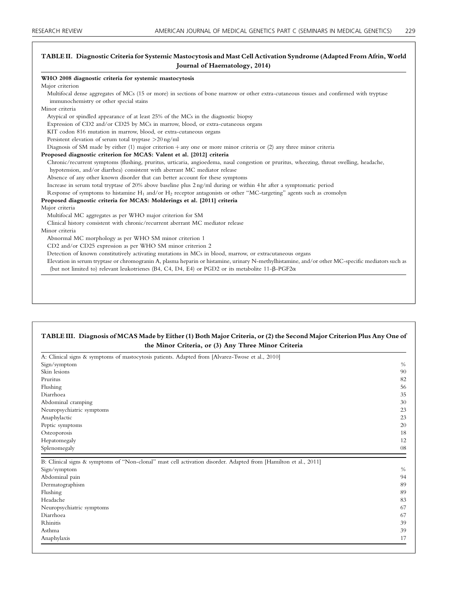## TABLE II. Diagnostic Criteria for Systemic Mastocytosis and Mast Cell Activation Syndrome (Adapted From Afrin, World Journal of Haematology, 2014)

| WHO 2008 diagnostic criteria for systemic mastocytosis                                                                                                                             |
|------------------------------------------------------------------------------------------------------------------------------------------------------------------------------------|
| Major criterion                                                                                                                                                                    |
| Multifocal dense aggregates of MCs (15 or more) in sections of bone marrow or other extra-cutaneous tissues and confirmed with tryptase<br>immunochemistry or other special stains |
| Minor criteria                                                                                                                                                                     |
|                                                                                                                                                                                    |
| Atypical or spindled appearance of at least 25% of the MCs in the diagnostic biopsy                                                                                                |
| Expression of CD2 and/or CD25 by MCs in marrow, blood, or extra-cutaneous organs                                                                                                   |
| KIT codon 816 mutation in marrow, blood, or extra-cutaneous organs                                                                                                                 |
| Persistent elevation of serum total tryptase $>20$ ng/ml                                                                                                                           |
| Diagnosis of SM made by either (1) major criterion + any one or more minor criteria or (2) any three minor criteria                                                                |
| Proposed diagnostic criterion for MCAS: Valent et al. [2012] criteria                                                                                                              |
| Chronic/recurrent symptoms (flushing, pruritus, urticaria, angioedema, nasal congestion or pruritus, wheezing, throat swelling, headache,                                          |
| hypotension, and/or diarrhea) consistent with aberrant MC mediator release                                                                                                         |
| Absence of any other known disorder that can better account for these symptoms                                                                                                     |
| Increase in serum total tryptase of 20% above baseline plus 2 ng/ml during or within 4 hr after a symptomatic period                                                               |
| Response of symptoms to histamine $H_1$ and/or $H_2$ receptor antagonists or other "MC-targeting" agents such as cromolyn                                                          |
| Proposed diagnostic criteria for MCAS: Molderings et al. [2011] criteria                                                                                                           |
| Major criteria                                                                                                                                                                     |
| Multifocal MC aggregates as per WHO major criterion for SM                                                                                                                         |
| Clinical history consistent with chronic/recurrent aberrant MC mediator release                                                                                                    |
| Minor criteria                                                                                                                                                                     |
| Abnormal MC morphology as per WHO SM minor criterion 1                                                                                                                             |
| CD2 and/or CD25 expression as per WHO SM minor criterion 2                                                                                                                         |
| Detection of known constitutively activating mutations in MCs in blood, marrow, or extracutaneous organs                                                                           |
| Elevation in serum tryptase or chromogranin A, plasma heparin or histamine, urinary N-methylhistamine, and/or other MC-specific mediators such as                                  |
| (but not limited to) relevant leukotrienes (B4, C4, D4, E4) or PGD2 or its metabolite $11-\beta-PGF2\alpha$                                                                        |

#### TABLE III. Diagnosis of MCAS Made by Either (1) Both Major Criteria, or (2) the Second Major Criterion Plus Any One of the Minor Criteria, or (3) Any Three Minor Criteria

| A: Clinical signs & symptoms of mastocytosis patients. Adapted from [Alvarez-Twose et al., 2010]                 |                |
|------------------------------------------------------------------------------------------------------------------|----------------|
| Sign/symptom                                                                                                     | $\%$           |
| Skin lesions                                                                                                     | 90             |
| Pruritus                                                                                                         | 82             |
| Flushing                                                                                                         | 56             |
| Diarrhoea                                                                                                        | 35             |
| Abdominal cramping                                                                                               | 30<br>23<br>23 |
| Neuropsychiatric symptoms                                                                                        |                |
| Anaphylactic                                                                                                     |                |
| Peptic symptoms                                                                                                  | 20             |
| Osteoporosis                                                                                                     | 18             |
| Hepatomegaly                                                                                                     | 12             |
| Splenomegaly                                                                                                     | 08             |
| B: Clinical signs & symptoms of "Non-clonal" mast cell activation disorder. Adapted from [Hamilton et al., 2011] |                |
| Sign/symptom                                                                                                     | $\frac{0}{0}$  |
| Abdominal pain                                                                                                   | 94             |
| Dermatographism                                                                                                  | 89             |
| Flushing                                                                                                         | 89             |
| Headache                                                                                                         | 83             |
| Neuropsychiatric symptoms                                                                                        | 67             |
| Diarrhoea                                                                                                        | 67             |
| <b>Rhinitis</b>                                                                                                  | 39             |
|                                                                                                                  |                |
| Asthma                                                                                                           | 39             |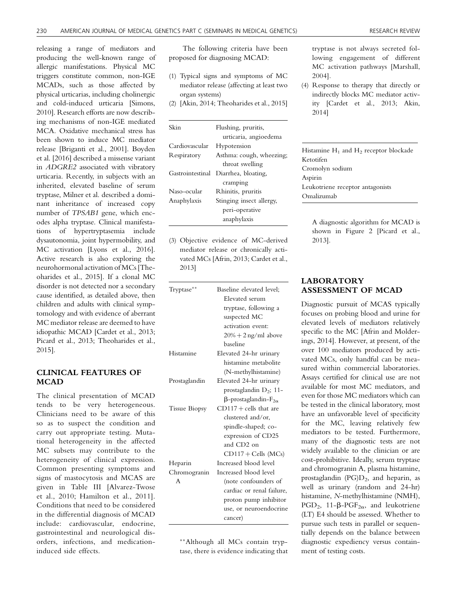releasing a range of mediators and producing the well-known range of allergic manifestations. Physical MC triggers constitute common, non-IGE MCADs, such as those affected by physical urticarias, including cholinergic and cold-induced urticaria [Simons, 2010]. Research efforts are now describing mechanisms of non-IGE mediated MCA. Oxidative mechanical stress has been shown to induce MC mediator release [Briganti et al., 2001]. Boyden et al. [2016] described a missense variant in ADGRE2 associated with vibratory urticaria. Recently, in subjects with an inherited, elevated baseline of serum tryptase, Milner et al. described a dominant inheritance of increased copy number of TPSAB1 gene, which encodes alpha tryptase. Clinical manifestations of hypertryptasemia include dysautonomia, joint hypermobility, and MC activation [Lyons et al., 2016]. Active research is also exploring the neurohormonal activation of MCs [Theoharides et al., 2015]. If a clonal MC disorder is not detected nor a secondary cause identified, as detailed above, then children and adults with clinical symptomology and with evidence of aberrant MC mediator release are deemed to have idiopathic MCAD [Cardet et al., 2013; Picard et al., 2013; Theoharides et al., 2015].

# CLINICAL FEATURES OF MCAD

The clinical presentation of MCAD tends to be very heterogeneous. Clinicians need to be aware of this so as to suspect the condition and carry out appropriate testing. Mutational heterogeneity in the affected MC subsets may contribute to the heterogeneity of clinical expression. Common presenting symptoms and signs of mastocytosis and MCAS are given in Table III [Alvarez-Twose et al., 2010; Hamilton et al., 2011]. Conditions that need to be considered in the differential diagnosis of MCAD include: cardiovascular, endocrine, gastrointestinal and neurological disorders, infections, and medicationinduced side effects.

The following criteria have been proposed for diagnosing MCAD:

- (1) Typical signs and symptoms of MC mediator release (affecting at least two organ systems)
- (2) [Akin, 2014; Theoharides et al., 2015]

| Skin             | Flushing, pruritis,      |
|------------------|--------------------------|
|                  | urticaria, angioedema    |
| Cardiovascular   | Hypotension              |
| Respiratory      | Asthma: cough, wheezing; |
|                  | throat swelling          |
| Gastrointestinal | Diarrhea, bloating,      |
|                  | cramping                 |
| Naso-ocular      | Rhinitis, pruritis       |
| Anaphylaxis      | Stinging insect allergy, |
|                  | peri-operative           |
|                  | anaphylaxis              |

(3) Objective evidence of MC-derived mediator release or chronically activated MCs [Afrin, 2013; Cardet et al., 2013]

| Tryptase**           | Baseline elevated level;               |
|----------------------|----------------------------------------|
|                      | Elevated serum                         |
|                      | tryptase, following a                  |
|                      | suspected MC                           |
|                      | activation event:                      |
|                      | $20\% + 2$ ng/ml above                 |
|                      | baseline                               |
| Histamine            | Elevated 24-hr urinary                 |
|                      | histamine metabolite                   |
|                      | (N-methylhistamine)                    |
| Prostaglandin        | Elevated 24-hr urinary                 |
|                      | prostaglandin $D_2$ ; 11-              |
|                      | $\beta$ -prostaglandin-F <sub>20</sub> |
| <b>Tissue Biopsy</b> | $CD117 + cells$ that are               |
|                      | clustered and/or,                      |
|                      | spindle-shaped; co-                    |
|                      | expression of CD25                     |
|                      | and CD2 on                             |
|                      | $CD117 + Cells$ (MCs)                  |
| Heparin              | Increased blood level                  |
| Chromogranin         | Increased blood level                  |
| A                    | (note confounders of                   |
|                      | cardiac or renal failure,              |
|                      | proton pump inhibitor                  |
|                      | use, or neuroendocrine                 |
|                      | cancer)                                |

--Although all MCs contain tryptase, there is evidence indicating that tryptase is not always secreted following engagement of different MC activation pathways [Marshall, 2004].

(4) Response to therapy that directly or indirectly blocks MC mediator activity [Cardet et al., 2013; Akin, 2014]

Histamine  $H_1$  and  $H_2$  receptor blockade Ketotifen Cromolyn sodium Aspirin Leukotriene receptor antagonists Omalizumab

A diagnostic algorithm for MCAD is shown in Figure 2 [Picard et al., 2013].

## LABORATORY ASSESSMENT OF MCAD

Diagnostic pursuit of MCAS typically focuses on probing blood and urine for elevated levels of mediators relatively specific to the MC [Afrin and Molderings, 2014]. However, at present, of the over 100 mediators produced by activated MCs, only handful can be measured within commercial laboratories. Assays certified for clinical use are not available for most MC mediators, and even for those MC mediators which can be tested in the clinical laboratory, most have an unfavorable level of specificity for the MC, leaving relatively few mediators to be tested. Furthermore, many of the diagnostic tests are not widely available to the clinician or are cost-prohibitive. Ideally, serum tryptase and chromogranin A, plasma histamine, prostaglandin  $(PG)D_2$ , and heparin, as well as urinary (random and 24-hr) histamine, N-methylhistamine (NMH), PGD<sub>2</sub>, 11- $\beta$ -PGF<sub>2 $\alpha$ </sub>, and leukotriene (LT) E4 should be assessed. Whether to pursue such tests in parallel or sequentially depends on the balance between diagnostic expediency versus containment of testing costs.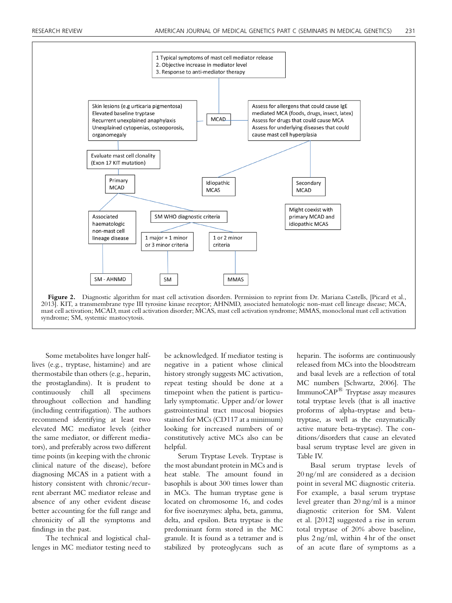

2013]. KIT, a transmembrane type III tyrosine kinase receptor; AHNMD, associated hematologic non-mast cell lineage disease; MCA, mast cell activation; MCAD, mast cell activation disorder; MCAS, mast cell activation syndrome; MMAS, monoclonal mast cell activation syndrome; SM, systemic mastocytosis.

Some metabolites have longer halflives (e.g., tryptase, histamine) and are thermostabile than others (e.g., heparin, the prostaglandins). It is prudent to continuously chill all specimens throughout collection and handling (including centrifugation). The authors recommend identifying at least two elevated MC mediator levels (either the same mediator, or different mediators), and preferably across two different time points (in keeping with the chronic clinical nature of the disease), before diagnosing MCAS in a patient with a history consistent with chronic/recurrent aberrant MC mediator release and absence of any other evident disease better accounting for the full range and chronicity of all the symptoms and findings in the past.

The technical and logistical challenges in MC mediator testing need to be acknowledged. If mediator testing is negative in a patient whose clinical history strongly suggests MC activation, repeat testing should be done at a timepoint when the patient is particularly symptomatic. Upper and/or lower gastrointestinal tract mucosal biopsies stained for MCs (CD117 at a minimum) looking for increased numbers of or constitutively active MCs also can be helpful.

Serum Tryptase Levels. Tryptase is the most abundant protein in MCs and is heat stable. The amount found in basophils is about 300 times lower than in MCs. The human tryptase gene is located on chromosome 16, and codes for five isoenzymes: alpha, beta, gamma, delta, and epsilon. Beta tryptase is the predominant form stored in the MC granule. It is found as a tetramer and is stabilized by proteoglycans such as heparin. The isoforms are continuously released from MCs into the bloodstream and basal levels are a reflection of total MC numbers [Schwartz, 2006]. The ImmunoCAP<sup>®</sup> Tryptase assay measures total tryptase levels (that is all inactive proforms of alpha-tryptase and betatryptase, as well as the enzymatically active mature beta-tryptase). The conditions/disorders that cause an elevated basal serum tryptase level are given in Table IV.

Basal serum tryptase levels of 20 ng/ml are considered as a decision point in several MC diagnostic criteria. For example, a basal serum tryptase level greater than 20 ng/ml is a minor diagnostic criterion for SM. Valent et al. [2012] suggested a rise in serum total tryptase of 20% above baseline, plus 2 ng/ml, within 4 hr of the onset of an acute flare of symptoms as a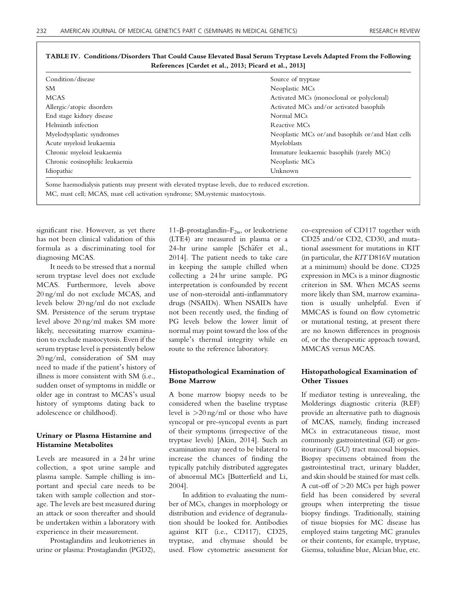| Condition/disease              | Source of tryptase                                 |
|--------------------------------|----------------------------------------------------|
| SM.                            | Neoplastic MCs                                     |
| <b>MCAS</b>                    | Activated MCs (monoclonal or polyclonal)           |
| Allergic/atopic disorders      | Activated MCs and/or activated basophils           |
| End stage kidney disease       | Normal MCs                                         |
| Helminth infection             | Reactive MCs                                       |
| Myelodysplastic syndromes      | Neoplastic MCs or/and basophils or/and blast cells |
| Acute myeloid leukaemia        | Myeloblasts                                        |
| Chronic myeloid leukaemia      | Immature leukaemic basophils (rarely MCs)          |
| Chronic eosinophilic leukaemia | Neoplastic MCs                                     |
| Idiopathic                     | Unknown                                            |

## TABLE IV. Conditions/Disorders That Could Cause Elevated Basal Serum Tryptase Levels Adapted From the Following References [Cardet et al., 2013; Picard et al., 2013]

Some haemodialysis patients may present with elevated tryptase levels, due to reduced excretion. MC, mast cell; MCAS, mast cell activation syndrome; SM,systemic mastocytosis.

significant rise. However, as yet there has not been clinical validation of this formula as a discriminating tool for diagnosing MCAS.

It needs to be stressed that a normal serum tryptase level does not exclude MCAS. Furthermore, levels above 20 ng/ml do not exclude MCAS, and levels below 20 ng/ml do not exclude SM. Persistence of the serum tryptase level above 20 ng/ml makes SM more likely, necessitating marrow examination to exclude mastocytosis. Even if the serum tryptase level is persistently below 20 ng/ml, consideration of SM may need to made if the patient's history of illness is more consistent with SM (i.e., sudden onset of symptoms in middle or older age in contrast to MCAS's usual history of symptoms dating back to adolescence or childhood).

## Urinary or Plasma Histamine and Histamine Metabolites

Levels are measured in a 24 hr urine collection, a spot urine sample and plasma sample. Sample chilling is important and special care needs to be taken with sample collection and storage. The levels are best measured during an attack or soon thereafter and should be undertaken within a laboratory with experience in their measurement.

Prostaglandins and leukotrienes in urine or plasma: Prostaglandin (PGD2),

11- $\beta$ -prostaglandin- $F_{2\alpha}$ , or leukotriene (LTE4) are measured in plasma or a 24-hr urine sample [Schäfer et al., 2014]. The patient needs to take care in keeping the sample chilled when collecting a 24 hr urine sample. PG interpretation is confounded by recent use of non-steroidal anti-inflammatory drugs (NSAIDs). When NSAIDs have not been recently used, the finding of PG levels below the lower limit of normal may point toward the loss of the sample's thermal integrity while en route to the reference laboratory.

## Histopathological Examination of Bone Marrow

A bone marrow biopsy needs to be considered when the baseline tryptase level is >20 ng/ml or those who have syncopal or pre-syncopal events as part of their symptoms (irrespective of the tryptase levels) [Akin, 2014]. Such an examination may need to be bilateral to increase the chances of finding the typically patchily distributed aggregates of abnormal MCs [Butterfield and Li, 2004].

In addition to evaluating the number of MCs, changes in morphology or distribution and evidence of degranulation should be looked for. Antibodies against KIT (i.e., CD117), CD25, tryptase, and chymase should be used. Flow cytometric assessment for co-expression of CD117 together with CD25 and/or CD2, CD30, and mutational assessment for mutations in KIT (in particular, the KIT D816V mutation at a minimum) should be done. CD25 expression in MCs is a minor diagnostic criterion in SM. When MCAS seems more likely than SM, marrow examination is usually unhelpful. Even if MMCAS is found on flow cytometric or mutational testing, at present there are no known differences in prognosis of, or the therapeutic approach toward, MMCAS versus MCAS.

## Histopathological Examination of Other Tissues

If mediator testing is unrevealing, the Molderings diagnostic criteria (REF) provide an alternative path to diagnosis of MCAS, namely, finding increased MCs in extracutaneous tissue, most commonly gastrointestinal (GI) or genitourinary (GU) tract mucosal biopsies. Biopsy specimens obtained from the gastrointestinal tract, urinary bladder, and skin should be stained for mast cells. A cut-off of >20 MCs per high power field has been considered by several groups when interpreting the tissue biopsy findings. Traditionally, staining of tissue biopsies for MC disease has employed stains targeting MC granules or their contents, for example, tryptase, Giemsa, toluidine blue, Alcian blue, etc.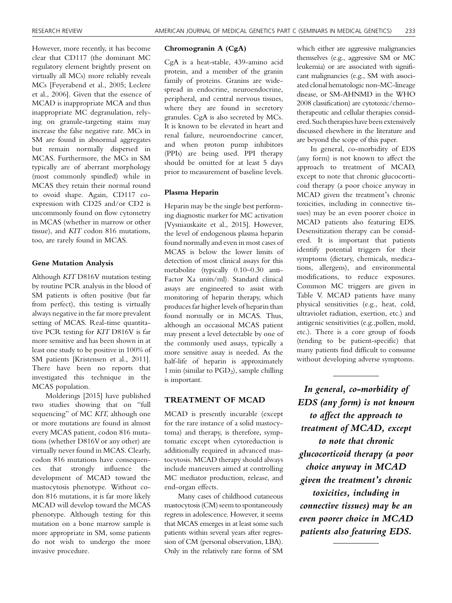However, more recently, it has become clear that CD117 (the dominant MC regulatory element brightly present on virtually all MCs) more reliably reveals MCs [Feyerabend et al., 2005; Leclere et al., 2006]. Given that the essence of MCAD is inappropriate MCA and thus inappropriate MC degranulation, relying on granule-targeting stains may increase the false negative rate. MCs in SM are found in abnormal aggregates but remain normally dispersed in MCAS. Furthermore, the MCs in SM typically are of aberrant morphology (most commonly spindled) while in MCAS they retain their normal round to ovoid shape. Again, CD117 coexpression with CD25 and/or CD2 is uncommonly found on flow cytometry in MCAS (whether in marrow or other tissue), and KIT codon 816 mutations, too, are rarely found in MCAS.

#### Gene Mutation Analysis

Although KIT D816V mutation testing by routine PCR analysis in the blood of SM patients is often positive (but far from perfect), this testing is virtually always negative in the far more prevalent setting of MCAS. Real-time quantitative PCR testing for KIT D816V is far more sensitive and has been shown in at least one study to be positive in 100% of SM patients [Kristensen et al., 2011]. There have been no reports that investigated this technique in the MCAS population.

Molderings [2015] have published two studies showing that on "full sequencing" of MC KIT, although one or more mutations are found in almost every MCAS patient, codon 816 mutations (whether D816V or any other) are virtually never found in MCAS. Clearly, codon 816 mutations have consequences that strongly influence the development of MCAD toward the mastocytosis phenotype. Without codon 816 mutations, it is far more likely MCAD will develop toward the MCAS phenotype. Although testing for this mutation on a bone marrow sample is more appropriate in SM, some patients do not wish to undergo the more invasive procedure.

### Chromogranin A (CgA)

CgA is a heat-stable, 439-amino acid protein, and a member of the granin family of proteins. Granins are widespread in endocrine, neuroendocrine, peripheral, and central nervous tissues, where they are found in secretory granules. CgA is also secreted by MCs. It is known to be elevated in heart and renal failure, neuroendocrine cancer, and when proton pump inhibitors (PPIs) are being used. PPI therapy should be omitted for at least 5 days prior to measurement of baseline levels.

#### Plasma Heparin

Heparin may be the single best performing diagnostic marker for MC activation [Vysniauskaite et al., 2015]. However, the level of endogenous plasma heparin found normally and even in most cases of MCAS is below the lower limits of detection of most clinical assays for this metabolite (typically 0.10–0.30 anti-Factor Xa units/ml). Standard clinical assays are engineered to assist with monitoring of heparin therapy, which produces far higher levels of heparin than found normally or in MCAS. Thus, although an occasional MCAS patient may present a level detectable by one of the commonly used assays, typically a more sensitive assay is needed. As the half-life of heparin is approximately 1 min (similar to  $PGD_2$ ), sample chilling is important.

## TREATMENT OF MCAD

MCAD is presently incurable (except for the rare instance of a solid mastocytoma) and therapy, is therefore, symptomatic except when cytoreduction is additionally required in advanced mastocytosis. MCAD therapy should always include maneuvers aimed at controlling MC mediator production, release, and end-organ effects.

Many cases of childhood cutaneous mastocytosis (CM) seem to spontaneously regress in adolescence. However, it seems that MCAS emerges in at least some such patients within several years after regression of CM (personal observation, LBA). Only in the relatively rare forms of SM

which either are aggressive malignancies themselves (e.g., aggressive SM or MC leukemia) or are associated with significant malignancies (e.g., SM with associated clonal hematologic non-MC-lineage disease, or SM-AHNMD in the WHO 2008 classification) are cytotoxic/chemotherapeutic and cellular therapies considered. Such therapies have been extensively discussed elsewhere in the literature and are beyond the scope of this paper.

In general, co-morbidity of EDS (any form) is not known to affect the approach to treatment of MCAD, except to note that chronic glucocorticoid therapy (a poor choice anyway in MCAD given the treatment's chronic toxicities, including in connective tissues) may be an even poorer choice in MCAD patients also featuring EDS. Desensitization therapy can be considered. It is important that patients identify potential triggers for their symptoms (dietary, chemicals, medications, allergens), and environmental modifications, to reduce exposures. Common MC triggers are given in Table V. MCAD patients have many physical sensitivities (e.g., heat, cold, ultraviolet radiation, exertion, etc.) and antigenic sensitivities (e.g.,pollen, mold, etc.). There is a core group of foods (tending to be patient-specific) that many patients find difficult to consume without developing adverse symptoms.

In general, co-morbidity of EDS (any form) is not known to affect the approach to treatment of MCAD, except to note that chronic glucocorticoid therapy (a poor choice anyway in MCAD given the treatment's chronic toxicities, including in connective tissues) may be an even poorer choice in MCAD patients also featuring EDS.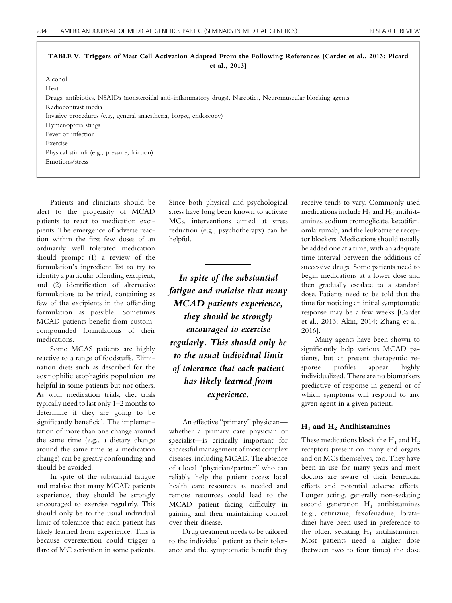| et al., $20131$                                                                                             |  |  |
|-------------------------------------------------------------------------------------------------------------|--|--|
| Alcohol                                                                                                     |  |  |
| Heat                                                                                                        |  |  |
| Drugs: antibiotics, NSAIDs (nonsteroidal anti-inflammatory drugs), Narcotics, Neuromuscular blocking agents |  |  |
| Radiocontrast media                                                                                         |  |  |
| Invasive procedures (e.g., general anaesthesia, biopsy, endoscopy)                                          |  |  |
| Hymenoptera stings                                                                                          |  |  |
| Fever or infection                                                                                          |  |  |
| Exercise                                                                                                    |  |  |
| Physical stimuli (e.g., pressure, friction)                                                                 |  |  |
| Emotions/stress                                                                                             |  |  |
|                                                                                                             |  |  |

TABLE V. Triggers of Mast Cell Activation Adapted From the Following References [Cardet et al., 2013; Picard et al., 2013]

Patients and clinicians should be alert to the propensity of MCAD patients to react to medication excipients. The emergence of adverse reaction within the first few doses of an ordinarily well tolerated medication should prompt (1) a review of the formulation's ingredient list to try to identify a particular offending excipient; and (2) identification of alternative formulations to be tried, containing as few of the excipients in the offending formulation as possible. Sometimes MCAD patients benefit from customcompounded formulations of their medications.

Some MCAS patients are highly reactive to a range of foodstuffs. Elimination diets such as described for the eosinophilic esophagitis population are helpful in some patients but not others. As with medication trials, diet trials typically need to last only 1–2 months to determine if they are going to be significantly beneficial. The implementation of more than one change around the same time (e.g., a dietary change around the same time as a medication change) can be greatly confounding and should be avoided.

In spite of the substantial fatigue and malaise that many MCAD patients experience, they should be strongly encouraged to exercise regularly. This should only be to the usual individual limit of tolerance that each patient has likely learned from experience. This is because overexertion could trigger a flare of MC activation in some patients.

Since both physical and psychological stress have long been known to activate MCs, interventions aimed at stress reduction (e.g., psychotherapy) can be helpful.

In spite of the substantial fatigue and malaise that many MCAD patients experience, they should be strongly encouraged to exercise regularly. This should only be to the usual individual limit of tolerance that each patient has likely learned from experience.

An effective "primary" physician whether a primary care physician or specialist—is critically important for successful management of most complex diseases, including MCAD. The absence of a local "physician/partner" who can reliably help the patient access local health care resources as needed and remote resources could lead to the MCAD patient facing difficulty in gaining and then maintaining control over their disease.

Drug treatment needs to be tailored to the individual patient as their tolerance and the symptomatic benefit they receive tends to vary. Commonly used medications include  $H_1$  and  $H_2$  antihistamines, sodium cromoglicate, ketotifen, omlaizumab, and the leukotriene receptor blockers. Medications should usually be added one at a time, with an adequate time interval between the additions of successive drugs. Some patients need to begin medications at a lower dose and then gradually escalate to a standard dose. Patients need to be told that the time for noticing an initial symptomatic response may be a few weeks [Cardet et al., 2013; Akin, 2014; Zhang et al., 2016].

Many agents have been shown to significantly help various MCAD patients, but at present therapeutic response profiles appear highly individualized. There are no biomarkers predictive of response in general or of which symptoms will respond to any given agent in a given patient.

#### $H_1$  and  $H_2$  Antihistamines

These medications block the  $H_1$  and  $H_2$ receptors present on many end organs and on MCs themselves, too. They have been in use for many years and most doctors are aware of their beneficial effects and potential adverse effects. Longer acting, generally non-sedating second generation  $H_1$  antihistamines (e.g., cetirizine, fexofenadine, loratadine) have been used in preference to the older, sedating  $H_1$  antihistamines. Most patients need a higher dose (between two to four times) the dose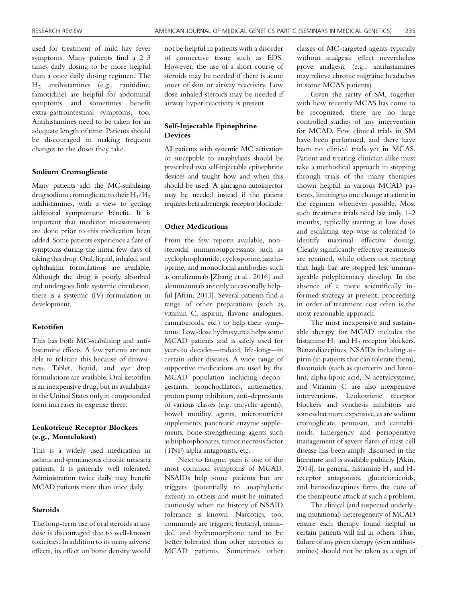used for treatment of mild hay fever symptoms. Many patients find a 2–3 times daily dosing to be more helpful than a once daily dosing regimen. The H2 antihistamines (e.g., ranitidine, famotidine) are helpful for abdominal symptoms and sometimes benefit extra-gastrointestinal symptoms, too. Antihistamines need to be taken for an adequate length of time. Patients should be discouraged in making frequent changes to the doses they take.

#### Sodium Cromoglicate

Many patients add the MC-stabilising drug sodium cromoglicate to their  $H_1/H_2$ antihistamines, with a view to getting additional symptomatic benefit. It is important that mediator measurements are done prior to this medication been added. Some patients experience a flare of symptoms during the initial few days of taking this drug. Oral, liquid, inhaled, and ophthalmic formulations are available. Although the drug is poorly absorbed and undergoes little systemic circulation, there is a systemic (IV) formulation in development.

#### Ketotifen

This has both MC-stabilising and antihistamine effects. A few patients are not able to tolerate this because of drowsiness. Tablet, liquid, and eye drop formulations are available. Oral ketotifen is an inexpensive drug, but its availability in the United States only in compounded form increases its expense there.

#### Leukotriene Receptor Blockers (e.g., Montelukast)

This is a widely used medication in asthma and spontaneous chronic urticaria patients. It is generally well tolerated. Administration twice daily may benefit MCAD patients more than once daily.

#### Steroids

The long-term use of oral steroids at any dose is discouraged due to well-known toxicities. In addition to its many adverse effects, its effect on bone density would not be helpful in patients with a disorder of connective tissue such as EDS. However, the use of a short course of steroids may be needed if there is acute onset of skin or airway reactivity. Low dose inhaled steroids may be needed if airway hyper-reactivity is present.

### Self-Injectable Epinephrine Devices

All patients with systemic MC activation or susceptible to anaphylaxis should be prescribed two self-injectable epinephrine devices and taught how and when this should be used. A glucagon autoinjector may be needed instead if the patient requires beta adrenergic receptor blockade.

#### Other Medications

From the few reports available, nonsteroidal immunosuppressants such as cyclophosphamide, cyclosporine, azathioprine, and monoclonal antibodies such as omalizumab [Zhang et al., 2016] and alemtuzumab are only occasionally helpful [Afrin, 2013]. Several patients find a range of other preparations (such as vitamin C, aspirin, flavone analogues, cannabinoids, etc.) to help their symptoms. Low-dose hydroxyurea helps some MCAD patients and is safely used for years to decades—indeed, life-long—in certain other diseases. A wide range of supportive medications are used by the MCAD population including decongestants, bronchodilators, antiemetics, proton pump inhibitors, anti-depressants of various classes (e.g. tricyclic agents), bowel motility agents, micronutrient supplements, pancreatic enzyme supplements, bone-strengthening agents such as bisphosphonates, tumor necrosis factor (TNF) alpha antagonists, etc.

Next to fatigue, pain is one of the most common symptoms of MCAD. NSAIDs help some patients but are triggers (potentially to anaphylactic extent) in others and must be initiated cautiously when no history of NSAID tolerance is known. Narcotics, too, commonly are triggers; fentanyl, tramadol, and hydromorphone tend to be better tolerated than other narcotics in MCAD patients. Sometimes other classes of MC-targeted agents typically without analgesic effect nevertheless prove analgesic (e.g., antihistamines may relieve chronic migraine headaches in some MCAS patients).

Given the rarity of SM, together with how recently MCAS has come to be recognized, there are no large controlled studies of any intervention for MCAD. Few clinical trials in SM have been performed, and there have been no clinical trials yet in MCAS. Patient and treating clinician alike must take a methodical approach in stepping through trials of the many therapies shown helpful in various MCAD patients, limiting to one change at a time in the regimen whenever possible. Most such treatment trials need last only 1–2 months, typically starting at low doses and escalating step-wise as tolerated to identify maximal effective dosing. Clearly significantly effective treatments are retained, while others not meeting that high bar are stopped lest unmanageable polypharmacy develop. In the absence of a more scientifically informed strategy at present, proceeding in order of treatment cost often is the most reasonable approach.

The most inexpensive and sustainable therapy for MCAD includes the histamine  $H_1$  and  $H_2$  receptor blockers. Benzodiazepines, NSAIDs including aspirin (in patients that can tolerate them), flavonoids (such as quercetin and luteolin), alpha lipoic acid, N-acetylcysteine, and Vitamin C are also inexpensive interventions. Leukotriene receptor blockers and synthesis inhibitors are somewhat more expensive, as are sodium cromoglicate, pentosan, and cannabinoids. Emergency and perioperative management of severe flares of mast cell disease has been amply discussed in the literature and is available publicly [Akin, 2014]. In general, histamine  $H_1$  and  $H_2$ receptor antagonists, glucocorticoids, and benzodiazepines form the core of the therapeutic attack at such a problem.

The clinical (and suspected underlying mutational) heterogeneity of MCAD ensure each therapy found helpful in certain patients will fail in others. Thus, failure of any given therapy (even antihistamines) should not be taken as a sign of